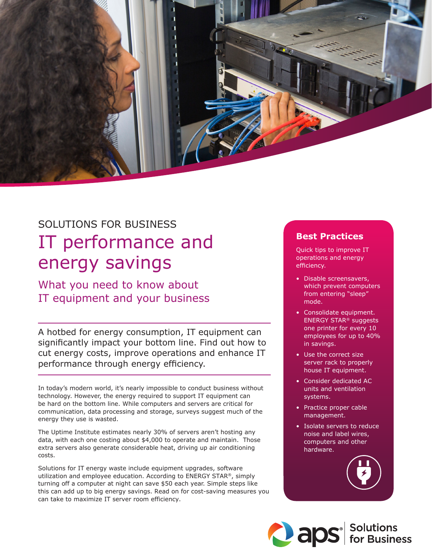

# SOLUTIONS FOR BUSINESS IT performance and energy savings

What you need to know about IT equipment and your business

A hotbed for energy consumption, IT equipment can significantly impact your bottom line. Find out how to cut energy costs, improve operations and enhance IT performance through energy efficiency.

In today's modern world, it's nearly impossible to conduct business without technology. However, the energy required to support IT equipment can be hard on the bottom line. While computers and servers are critical for communication, data processing and storage, surveys suggest much of the energy they use is wasted.

The Uptime Institute estimates nearly 30% of servers aren't hosting any data, with each one costing about \$4,000 to operate and maintain. Those extra servers also generate considerable heat, driving up air conditioning costs.

Solutions for IT energy waste include equipment upgrades, software utilization and employee education. According to ENERGY STAR®, simply turning off a computer at night can save \$50 each year. Simple steps like this can add up to big energy savings. Read on for cost-saving measures you can take to maximize IT server room efficiency.

### **Best Practices**

Quick tips to improve IT operations and energy efficiency.

- Disable screensavers, which prevent computers from entering "sleep" mode.
- Consolidate equipment. ENERGY STAR® suggests one printer for every 10 employees for up to 40% in savings.
- Use the correct size server rack to properly house IT equipment.
- Consider dedicated AC units and ventilation systems.
- Practice proper cable management.
- Isolate servers to reduce noise and label wires, computers and other hardware.